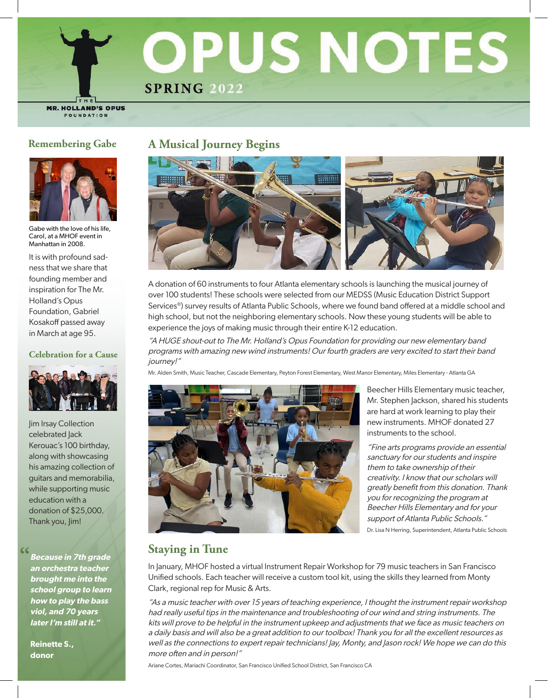

**MR. HOLLAND'S OPUS** FOUNDATION



Gabe with the love of his life, Carol, at a MHOF event in Manhattan in 2008.

It is with profound sadness that we share that founding member and inspiration for The Mr. Holland's Opus Foundation, Gabriel Kosakoff passed away in March at age 95.

#### **Celebration for a Cause**



**Iim Irsay Collection** celebrated Jack Kerouac's 100 birthday, along with showcasing his amazing collection of guitars and memorabilia, while supporting music education with a donation of \$25,000. Thank you, Jim!

**Because in 7th grade an orchestra teacher brought me into the school group to learn how to play the bass viol, and 70 years later I'm still at it."**

**Reinette S., donor**

## **Remembering Gabe A Musical Journey Begins**



A donation of 60 instruments to four Atlanta elementary schools is launching the musical journey of over 100 students! These schools were selected from our MEDSS (Music Education District Support Services®) survey results of Atlanta Public Schools, where we found band offered at a middle school and high school, but not the neighboring elementary schools. Now these young students will be able to experience the joys of making music through their entire K-12 education.

"A HUGE shout-out to The Mr. Holland's Opus Foundation for providing our new elementary band programs with amazing new wind instruments! Our fourth graders are very excited to start their band journey!"

Mr. Alden Smith, Music Teacher, Cascade Elementary, Peyton Forest Elementary, West Manor Elementary, Miles Elementary - Atlanta GA



Beecher Hills Elementary music teacher, Mr. Stephen Jackson, shared his students are hard at work learning to play their new instruments. MHOF donated 27 instruments to the school.

"Fine arts programs provide an essential sanctuary for our students and inspire them to take ownership of their creativity. I know that our scholars will greatly benefit from this donation. Thank you for recognizing the program at Beecher Hills Elementary and for your support of Atlanta Public Schools."

Dr. Lisa N Herring, Superintendent, Atlanta Public Schools

# **" Staying in Tune**

In January, MHOF hosted a virtual Instrument Repair Workshop for 79 music teachers in San Francisco Unified schools. Each teacher will receive a custom tool kit, using the skills they learned from Monty Clark, regional rep for Music & Arts.

"As a music teacher with over 15 years of teaching experience, I thought the instrument repair workshop had really useful tips in the maintenance and troubleshooting of our wind and string instruments. The kits will prove to be helpful in the instrument upkeep and adjustments that we face as music teachers on a daily basis and will also be a great addition to our toolbox! Thank you for all the excellent resources as well as the connections to expert repair technicians! Jay, Monty, and Jason rock! We hope we can do this more often and in person!"

Ariane Cortes, Mariachi Coordinator, San Francisco Unified School District, San Francisco CA